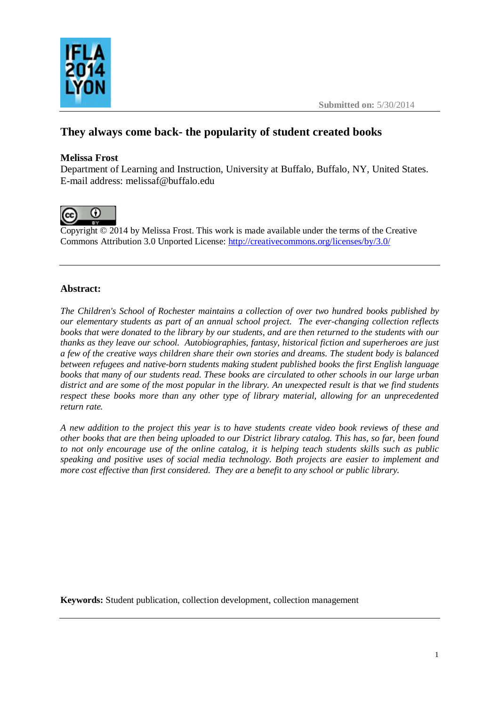



# **They always come back- the popularity of student created books**

# **Melissa Frost**

Department of Learning and Instruction, University at Buffalo, Buffalo, NY, United States. E-mail address: [melissaf@buffalo.edu](mailto:melissaf@buffalo.edu)



Copyright © 2014 by Melissa Frost. This work is made available under the terms of the Creative Commons Attribution 3.0 Unported License: <http://creativecommons.org/licenses/by/3.0/>

## **Abstract:**

*The Children's School of Rochester maintains a collection of over two hundred books published by our elementary students as part of an annual school project. The ever-changing collection reflects books that were donated to the library by our students, and are then returned to the students with our thanks as they leave our school. Autobiographies, fantasy, historical fiction and superheroes are just a few of the creative ways children share their own stories and dreams. The student body is balanced between refugees and native-born students making student published books the first English language books that many of our students read. These books are circulated to other schools in our large urban district and are some of the most popular in the library. An unexpected result is that we find students respect these books more than any other type of library material, allowing for an unprecedented return rate.* 

*A new addition to the project this year is to have students create video book reviews of these and other books that are then being uploaded to our District library catalog. This has, so far, been found to not only encourage use of the online catalog, it is helping teach students skills such as public speaking and positive uses of social media technology. Both projects are easier to implement and more cost effective than first considered. They are a benefit to any school or public library.* 

**Keywords:** Student publication, collection development, collection management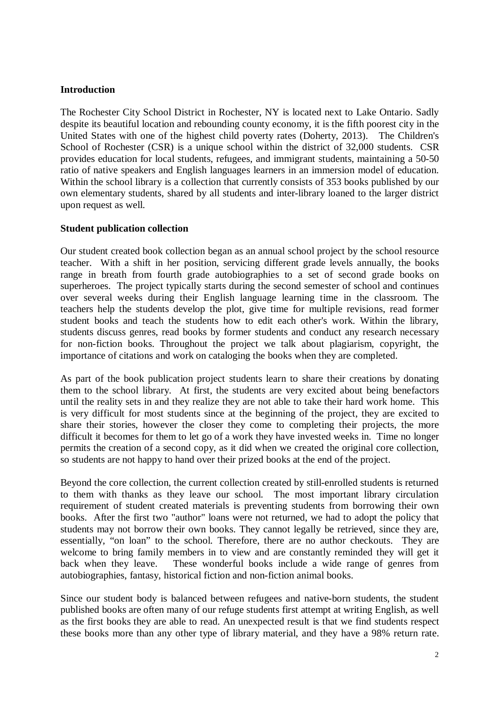### **Introduction**

The Rochester City School District in Rochester, NY is located next to Lake Ontario. Sadly despite its beautiful location and rebounding county economy, it is the fifth poorest city in the United States with one of the highest child poverty rates (Doherty, 2013). The Children's School of Rochester (CSR) is a unique school within the district of 32,000 students. CSR provides education for local students, refugees, and immigrant students, maintaining a 50-50 ratio of native speakers and English languages learners in an immersion model of education. Within the school library is a collection that currently consists of 353 books published by our own elementary students, shared by all students and inter-library loaned to the larger district upon request as well.

#### **Student publication collection**

Our student created book collection began as an annual school project by the school resource teacher. With a shift in her position, servicing different grade levels annually, the books range in breath from fourth grade autobiographies to a set of second grade books on superheroes. The project typically starts during the second semester of school and continues over several weeks during their English language learning time in the classroom. The teachers help the students develop the plot, give time for multiple revisions, read former student books and teach the students how to edit each other's work. Within the library, students discuss genres, read books by former students and conduct any research necessary for non-fiction books. Throughout the project we talk about plagiarism, copyright, the importance of citations and work on cataloging the books when they are completed.

As part of the book publication project students learn to share their creations by donating them to the school library. At first, the students are very excited about being benefactors until the reality sets in and they realize they are not able to take their hard work home. This is very difficult for most students since at the beginning of the project, they are excited to share their stories, however the closer they come to completing their projects, the more difficult it becomes for them to let go of a work they have invested weeks in. Time no longer permits the creation of a second copy, as it did when we created the original core collection, so students are not happy to hand over their prized books at the end of the project.

Beyond the core collection, the current collection created by still-enrolled students is returned to them with thanks as they leave our school. The most important library circulation requirement of student created materials is preventing students from borrowing their own books. After the first two "author" loans were not returned, we had to adopt the policy that students may not borrow their own books. They cannot legally be retrieved, since they are, essentially, "on loan" to the school. Therefore, there are no author checkouts. They are welcome to bring family members in to view and are constantly reminded they will get it back when they leave. These wonderful books include a wide range of genres from autobiographies, fantasy, historical fiction and non-fiction animal books.

Since our student body is balanced between refugees and native-born students, the student published books are often many of our refuge students first attempt at writing English, as well as the first books they are able to read. An unexpected result is that we find students respect these books more than any other type of library material, and they have a 98% return rate.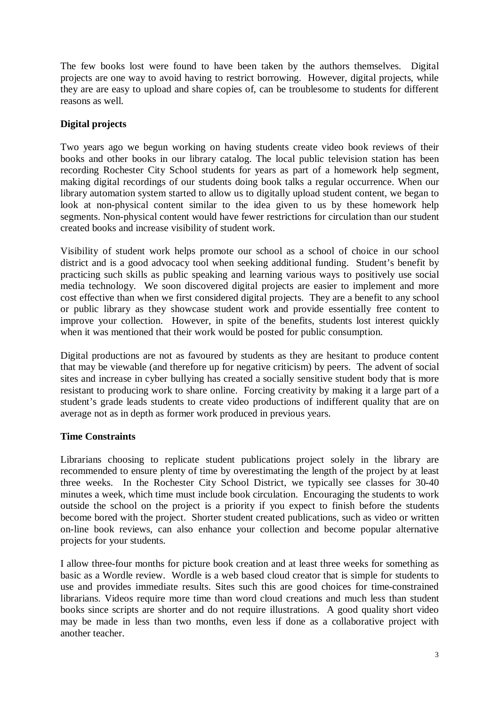The few books lost were found to have been taken by the authors themselves. Digital projects are one way to avoid having to restrict borrowing. However, digital projects, while they are are easy to upload and share copies of, can be troublesome to students for different reasons as well.

# **Digital projects**

Two years ago we begun working on having students create video book reviews of their books and other books in our library catalog. The local public television station has been recording Rochester City School students for years as part of a homework help segment, making digital recordings of our students doing book talks a regular occurrence. When our library automation system started to allow us to digitally upload student content, we began to look at non-physical content similar to the idea given to us by these homework help segments. Non-physical content would have fewer restrictions for circulation than our student created books and increase visibility of student work.

Visibility of student work helps promote our school as a school of choice in our school district and is a good advocacy tool when seeking additional funding. Student's benefit by practicing such skills as public speaking and learning various ways to positively use social media technology. We soon discovered digital projects are easier to implement and more cost effective than when we first considered digital projects. They are a benefit to any school or public library as they showcase student work and provide essentially free content to improve your collection. However, in spite of the benefits, students lost interest quickly when it was mentioned that their work would be posted for public consumption.

Digital productions are not as favoured by students as they are hesitant to produce content that may be viewable (and therefore up for negative criticism) by peers. The advent of social sites and increase in cyber bullying has created a socially sensitive student body that is more resistant to producing work to share online. Forcing creativity by making it a large part of a student's grade leads students to create video productions of indifferent quality that are on average not as in depth as former work produced in previous years.

## **Time Constraints**

Librarians choosing to replicate student publications project solely in the library are recommended to ensure plenty of time by overestimating the length of the project by at least three weeks. In the Rochester City School District, we typically see classes for 30-40 minutes a week, which time must include book circulation. Encouraging the students to work outside the school on the project is a priority if you expect to finish before the students become bored with the project. Shorter student created publications, such as video or written on-line book reviews, can also enhance your collection and become popular alternative projects for your students.

I allow three-four months for picture book creation and at least three weeks for something as basic as a Wordle review. Wordle is a web based cloud creator that is simple for students to use and provides immediate results. Sites such this are good choices for time-constrained librarians. Videos require more time than word cloud creations and much less than student books since scripts are shorter and do not require illustrations. A good quality short video may be made in less than two months, even less if done as a collaborative project with another teacher.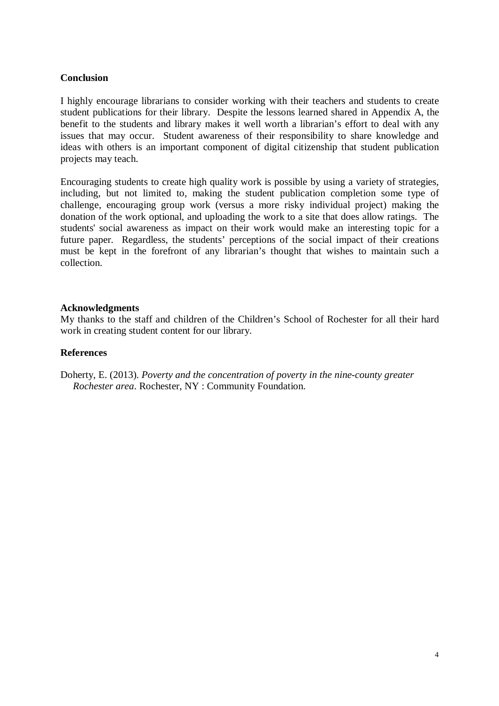#### **Conclusion**

I highly encourage librarians to consider working with their teachers and students to create student publications for their library. Despite the lessons learned shared in Appendix A, the benefit to the students and library makes it well worth a librarian's effort to deal with any issues that may occur. Student awareness of their responsibility to share knowledge and ideas with others is an important component of digital citizenship that student publication projects may teach.

Encouraging students to create high quality work is possible by using a variety of strategies, including, but not limited to, making the student publication completion some type of challenge, encouraging group work (versus a more risky individual project) making the donation of the work optional, and uploading the work to a site that does allow ratings. The students' social awareness as impact on their work would make an interesting topic for a future paper. Regardless, the students' perceptions of the social impact of their creations must be kept in the forefront of any librarian's thought that wishes to maintain such a collection.

#### **Acknowledgments**

My thanks to the staff and children of the Children's School of Rochester for all their hard work in creating student content for our library.

#### **References**

Doherty, E. (2013). *Poverty and the concentration of poverty in the nine-county greater Rochester area*. Rochester, NY : Community Foundation.